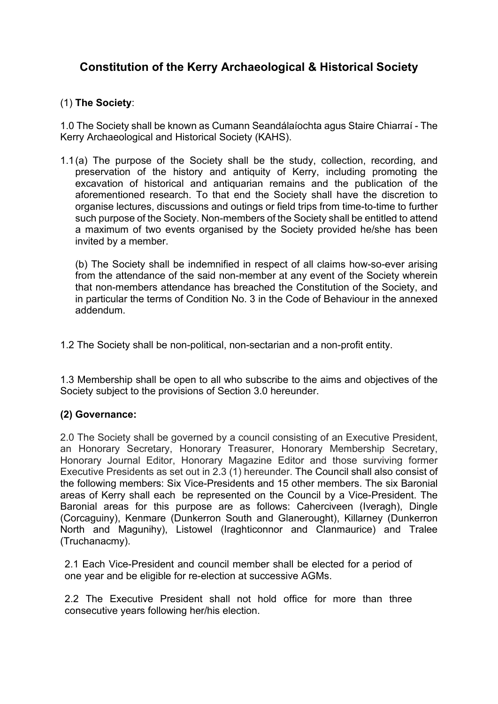# **Constitution of the Kerry Archaeological & Historical Society**

## (1) **The Society**:

1.0 The Society shall be known as Cumann Seandálaíochta agus Staire Chiarraí - The Kerry Archaeological and Historical Society (KAHS).

1.1(a) The purpose of the Society shall be the study, collection, recording, and preservation of the history and antiquity of Kerry, including promoting the excavation of historical and antiquarian remains and the publication of the aforementioned research. To that end the Society shall have the discretion to organise lectures, discussions and outings or field trips from time-to-time to further such purpose of the Society. Non-members of the Society shall be entitled to attend a maximum of two events organised by the Society provided he/she has been invited by a member.

(b) The Society shall be indemnified in respect of all claims how-so-ever arising from the attendance of the said non-member at any event of the Society wherein that non-members attendance has breached the Constitution of the Society, and in particular the terms of Condition No. 3 in the Code of Behaviour in the annexed addendum.

1.2 The Society shall be non-political, non-sectarian and a non-profit entity.

1.3 Membership shall be open to all who subscribe to the aims and objectives of the Society subject to the provisions of Section 3.0 hereunder.

## **(2) Governance:**

2.0 The Society shall be governed by a council consisting of an Executive President, an Honorary Secretary, Honorary Treasurer, Honorary Membership Secretary, Honorary Journal Editor, Honorary Magazine Editor and those surviving former Executive Presidents as set out in 2.3 (1) hereunder. The Council shall also consist of the following members: Six Vice-Presidents and 15 other members. The six Baronial areas of Kerry shall each be represented on the Council by a Vice-President. The Baronial areas for this purpose are as follows: Caherciveen (Iveragh), Dingle (Corcaguiny), Kenmare (Dunkerron South and Glanerought), Killarney (Dunkerron North and Magunihy), Listowel (Iraghticonnor and Clanmaurice) and Tralee (Truchanacmy).

2.1 Each Vice-President and council member shall be elected for a period of one year and be eligible for re-election at successive AGMs.

2.2 The Executive President shall not hold office for more than three consecutive years following her/his election.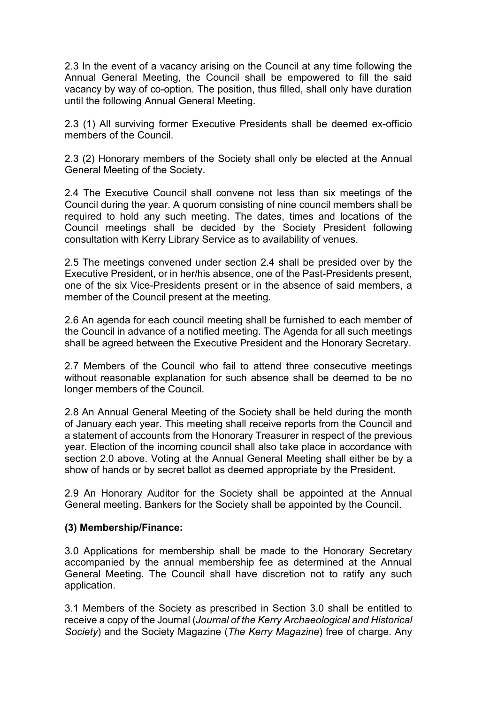2.3 In the event of a vacancy arising on the Council at any time following the Annual General Meeting, the Council shall be empowered to fill the said vacancy by way of co-option. The position, thus filled, shall only have duration until the following Annual General Meeting.

2.3 (1) All surviving former Executive Presidents shall be deemed ex-officio members of the Council.

2.3 (2) Honorary members of the Society shall only be elected at the Annual General Meeting of the Society.

2.4 The Executive Council shall convene not less than six meetings of the Council during the year. A quorum consisting of nine council members shall be required to hold any such meeting. The dates, times and locations of the Council meetings shall be decided by the Society President following consultation with Kerry Library Service as to availability of venues.

2.5 The meetings convened under section 2.4 shall be presided over by the Executive President, or in her/his absence, one of the Past-Presidents present, one of the six Vice-Presidents present or in the absence of said members, a member of the Council present at the meeting.

2.6 An agenda for each council meeting shall be furnished to each member of the Council in advance of a notified meeting. The Agenda for all such meetings shall be agreed between the Executive President and the Honorary Secretary.

2.7 Members of the Council who fail to attend three consecutive meetings without reasonable explanation for such absence shall be deemed to be no longer members of the Council.

2.8 An Annual General Meeting of the Society shall be held during the month of January each year. This meeting shall receive reports from the Council and a statement of accounts from the Honorary Treasurer in respect of the previous year. Election of the incoming council shall also take place in accordance with section 2.0 above. Voting at the Annual General Meeting shall either be by a show of hands or by secret ballot as deemed appropriate by the President.

2.9 An Honorary Auditor for the Society shall be appointed at the Annual General meeting. Bankers for the Society shall be appointed by the Council.

#### **(3) Membership/Finance:**

3.0 Applications for membership shall be made to the Honorary Secretary accompanied by the annual membership fee as determined at the Annual General Meeting. The Council shall have discretion not to ratify any such application.

3.1 Members of the Society as prescribed in Section 3.0 shall be entitled to receive a copy of the Journal (*Journal of the Kerry Archaeological and Historical Society*) and the Society Magazine (*The Kerry Magazine*) free of charge. Any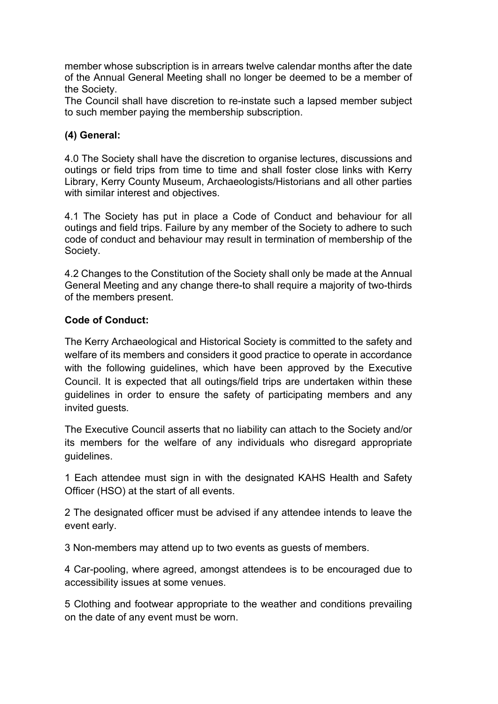member whose subscription is in arrears twelve calendar months after the date of the Annual General Meeting shall no longer be deemed to be a member of the Society.

The Council shall have discretion to re-instate such a lapsed member subject to such member paying the membership subscription.

### **(4) General:**

4.0 The Society shall have the discretion to organise lectures, discussions and outings or field trips from time to time and shall foster close links with Kerry Library, Kerry County Museum, Archaeologists/Historians and all other parties with similar interest and objectives.

4.1 The Society has put in place a Code of Conduct and behaviour for all outings and field trips. Failure by any member of the Society to adhere to such code of conduct and behaviour may result in termination of membership of the Society.

4.2 Changes to the Constitution of the Society shall only be made at the Annual General Meeting and any change there-to shall require a majority of two-thirds of the members present.

#### **Code of Conduct:**

The Kerry Archaeological and Historical Society is committed to the safety and welfare of its members and considers it good practice to operate in accordance with the following guidelines, which have been approved by the Executive Council. It is expected that all outings/field trips are undertaken within these guidelines in order to ensure the safety of participating members and any invited guests.

The Executive Council asserts that no liability can attach to the Society and/or its members for the welfare of any individuals who disregard appropriate guidelines.

1 Each attendee must sign in with the designated KAHS Health and Safety Officer (HSO) at the start of all events.

2 The designated officer must be advised if any attendee intends to leave the event early.

3 Non-members may attend up to two events as guests of members.

4 Car-pooling, where agreed, amongst attendees is to be encouraged due to accessibility issues at some venues.

5 Clothing and footwear appropriate to the weather and conditions prevailing on the date of any event must be worn.